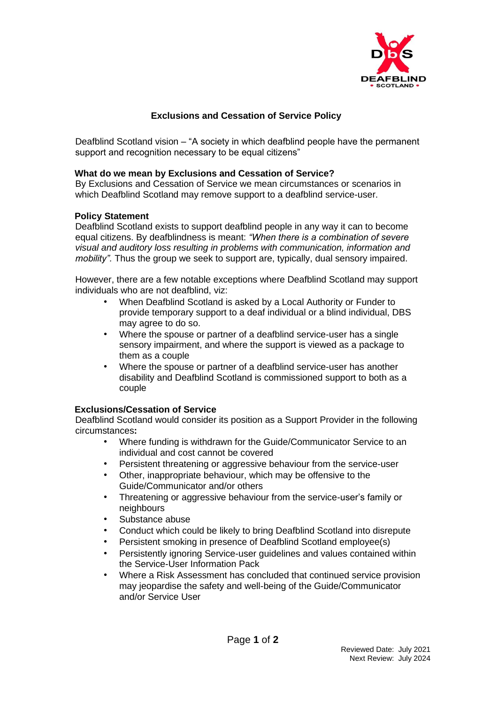

## **Exclusions and Cessation of Service Policy**

Deafblind Scotland vision – "A society in which deafblind people have the permanent support and recognition necessary to be equal citizens"

## **What do we mean by Exclusions and Cessation of Service?**

By Exclusions and Cessation of Service we mean circumstances or scenarios in which Deafblind Scotland may remove support to a deafblind service-user.

## **Policy Statement**

Deafblind Scotland exists to support deafblind people in any way it can to become equal citizens. By deafblindness is meant: *"When there is a combination of severe visual and auditory loss resulting in problems with communication, information and mobility".* Thus the group we seek to support are, typically, dual sensory impaired.

However, there are a few notable exceptions where Deafblind Scotland may support individuals who are not deafblind, viz:

- When Deafblind Scotland is asked by a Local Authority or Funder to provide temporary support to a deaf individual or a blind individual, DBS may agree to do so.
- Where the spouse or partner of a deafblind service-user has a single sensory impairment, and where the support is viewed as a package to them as a couple
- Where the spouse or partner of a deafblind service-user has another disability and Deafblind Scotland is commissioned support to both as a couple

## **Exclusions/Cessation of Service**

Deafblind Scotland would consider its position as a Support Provider in the following circumstances**:** 

- Where funding is withdrawn for the Guide/Communicator Service to an individual and cost cannot be covered
- Persistent threatening or aggressive behaviour from the service-user
- Other, inappropriate behaviour, which may be offensive to the Guide/Communicator and/or others
- Threatening or aggressive behaviour from the service-user's family or neighbours
- Substance abuse
- Conduct which could be likely to bring Deafblind Scotland into disrepute
- Persistent smoking in presence of Deafblind Scotland employee(s)
- Persistently ignoring Service-user guidelines and values contained within the Service-User Information Pack
- Where a Risk Assessment has concluded that continued service provision may jeopardise the safety and well-being of the Guide/Communicator and/or Service User